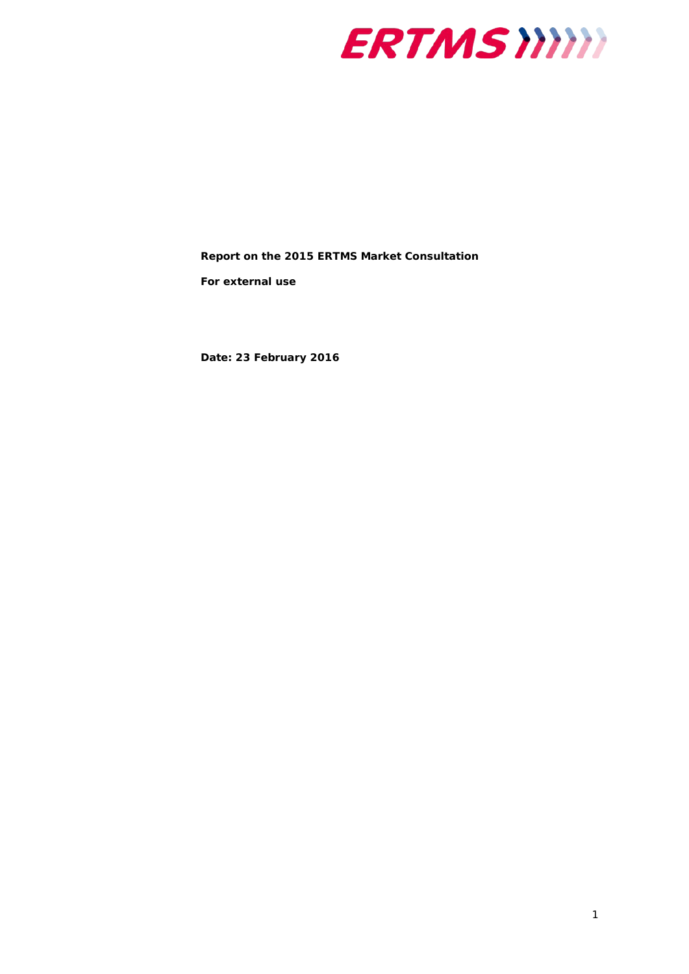

**Report on the 2015 ERTMS Market Consultation**

*For external use*

**Date: 23 February 2016**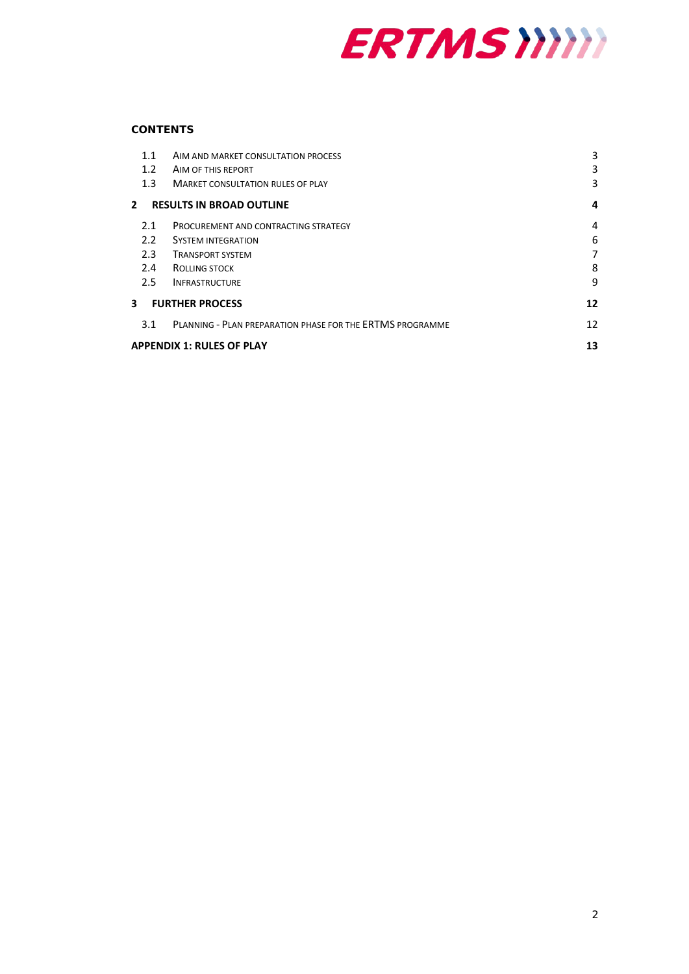

# **CONTENTS**

| 1.1                              | AIM AND MARKET CONSULTATION PROCESS                              | 3  |
|----------------------------------|------------------------------------------------------------------|----|
| 1.2                              | AIM OF THIS REPORT                                               | 3  |
| 1.3                              | <b>MARKET CONSULTATION RULES OF PLAY</b>                         | 3  |
| $\mathbf{2}$                     | <b>RESULTS IN BROAD OUTLINE</b>                                  | 4  |
| 2.1                              | PROCUREMENT AND CONTRACTING STRATEGY                             | 4  |
| $2.2^{\circ}$                    | <b>SYSTEM INTEGRATION</b>                                        | 6  |
| 2.3                              | <b>TRANSPORT SYSTEM</b>                                          | 7  |
| 2.4                              | ROLLING STOCK                                                    | 8  |
| 2.5                              | <b>INFRASTRUCTURE</b>                                            | 9  |
| 3<br><b>FURTHER PROCESS</b>      |                                                                  | 12 |
| 3.1                              | <b>PLANNING - PLAN PREPARATION PHASE FOR THE ERTMS PROGRAMME</b> | 12 |
| <b>APPENDIX 1: RULES OF PLAY</b> |                                                                  | 13 |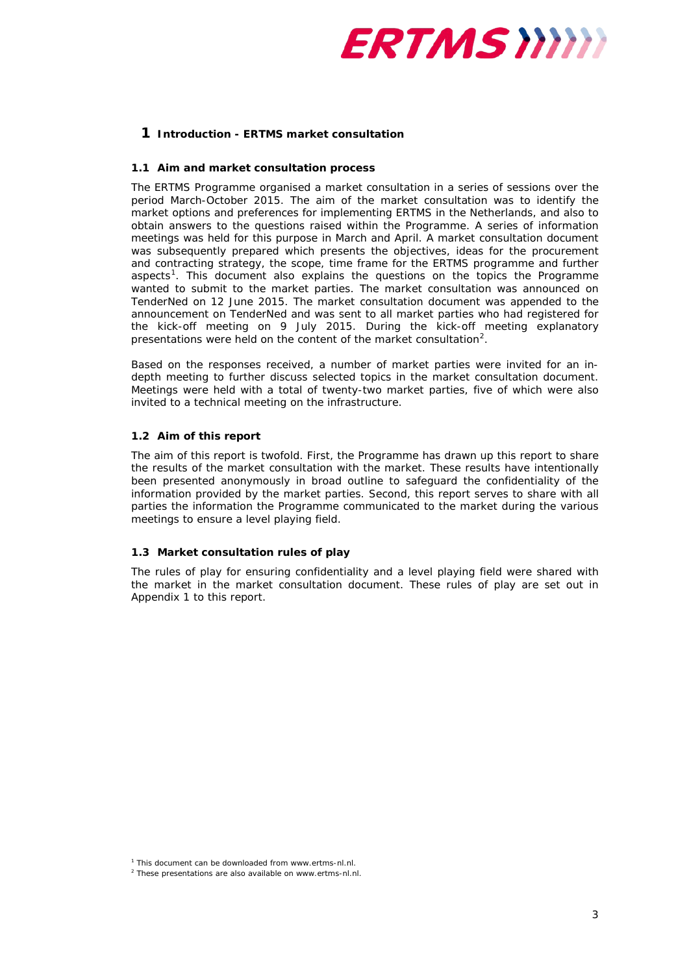

# **1 Introduction - ERTMS market consultation**

### <span id="page-2-0"></span>**1.1 Aim and market consultation process**

The ERTMS Programme organised a market consultation in a series of sessions over the period March-October 2015. The aim of the market consultation was to identify the market options and preferences for implementing ERTMS in the Netherlands, and also to obtain answers to the questions raised within the Programme. A series of information meetings was held for this purpose in March and April. A market consultation document was subsequently prepared which presents the objectives, ideas for the procurement and contracting strategy, the scope, time frame for the ERTMS programme and further aspects<sup>[1](#page-2-3)</sup>. This document also explains the questions on the topics the Programme wanted to submit to the market parties. The market consultation was announced on TenderNed on 12 June 2015. The market consultation document was appended to the announcement on TenderNed and was sent to all market parties who had registered for the kick-off meeting on 9 July 2015. During the kick-off meeting explanatory presentations were held on the content of the market consultation<sup>[2](#page-2-4)</sup>.

Based on the responses received, a number of market parties were invited for an indepth meeting to further discuss selected topics in the market consultation document. Meetings were held with a total of twenty-two market parties, five of which were also invited to a technical meeting on the infrastructure.

## <span id="page-2-1"></span>**1.2 Aim of this report**

The aim of this report is twofold. First, the Programme has drawn up this report to share the results of the market consultation with the market. These results have intentionally been presented anonymously in broad outline to safeguard the confidentiality of the information provided by the market parties. Second, this report serves to share with all parties the information the Programme communicated to the market during the various meetings to ensure a level playing field.

## <span id="page-2-2"></span>**1.3 Market consultation rules of play**

The rules of play for ensuring confidentiality and a level playing field were shared with the market in the market consultation document. These rules of play are set out in Appendix 1 to this report.

<span id="page-2-3"></span><sup>&</sup>lt;sup>1</sup> This document can be downloaded from www.ertms-nl.nl.

<span id="page-2-4"></span><sup>2</sup> These presentations are also available on www.ertms-nl.nl.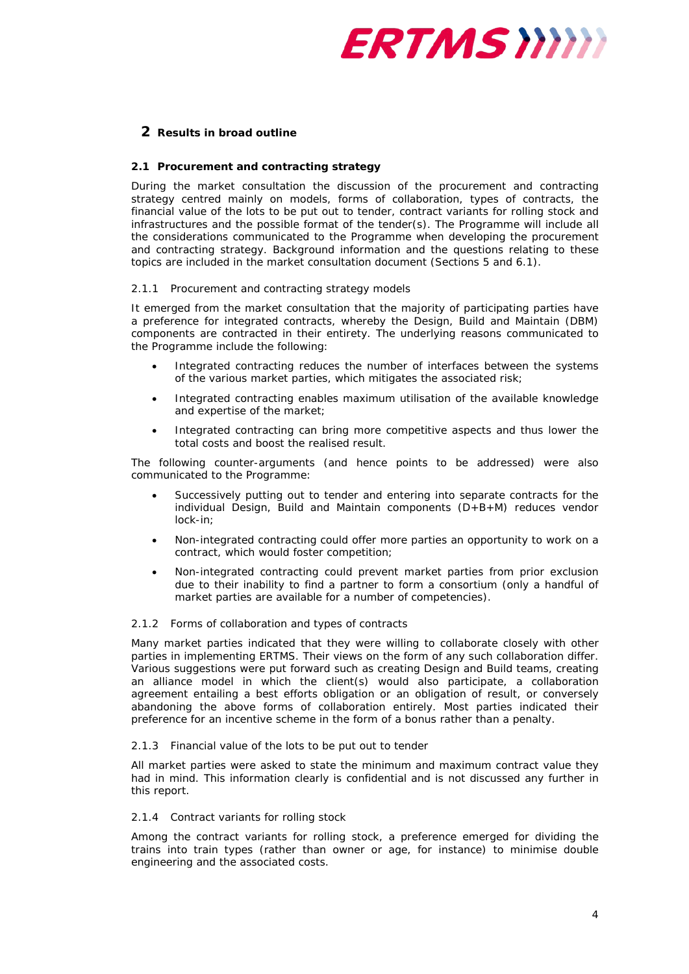

# <span id="page-3-0"></span>**2 Results in broad outline**

# <span id="page-3-1"></span>**2.1 Procurement and contracting strategy**

During the market consultation the discussion of the procurement and contracting strategy centred mainly on models, forms of collaboration, types of contracts, the financial value of the lots to be put out to tender, contract variants for rolling stock and infrastructures and the possible format of the tender(s). The Programme will include all the considerations communicated to the Programme when developing the procurement and contracting strategy. Background information and the questions relating to these topics are included in the market consultation document (Sections 5 and 6.1).

## *2.1.1 Procurement and contracting strategy models*

It emerged from the market consultation that the majority of participating parties have a preference for integrated contracts, whereby the Design, Build and Maintain (DBM) components are contracted in their entirety. The underlying reasons communicated to the Programme include the following:

- Integrated contracting reduces the number of interfaces between the systems of the various market parties, which mitigates the associated risk;
- Integrated contracting enables maximum utilisation of the available knowledge and expertise of the market;
- Integrated contracting can bring more competitive aspects and thus lower the total costs and boost the realised result.

The following counter-arguments (and hence points to be addressed) were also communicated to the Programme:

- Successively putting out to tender and entering into separate contracts for the individual Design, Build and Maintain components (D+B+M) reduces vendor lock-in;
- Non-integrated contracting could offer more parties an opportunity to work on a contract, which would foster competition;
- Non-integrated contracting could prevent market parties from prior exclusion due to their inability to find a partner to form a consortium (only a handful of market parties are available for a number of competencies).

#### *2.1.2 Forms of collaboration and types of contracts*

Many market parties indicated that they were willing to collaborate closely with other parties in implementing ERTMS. Their views on the form of any such collaboration differ. Various suggestions were put forward such as creating Design and Build teams, creating an alliance model in which the client(s) would also participate, a collaboration agreement entailing a best efforts obligation or an obligation of result, or conversely abandoning the above forms of collaboration entirely. Most parties indicated their preference for an incentive scheme in the form of a bonus rather than a penalty.

#### *2.1.3 Financial value of the lots to be put out to tender*

All market parties were asked to state the minimum and maximum contract value they had in mind. This information clearly is confidential and is not discussed any further in this report.

#### *2.1.4 Contract variants for rolling stock*

Among the contract variants for rolling stock, a preference emerged for dividing the trains into train types (rather than owner or age, for instance) to minimise double engineering and the associated costs.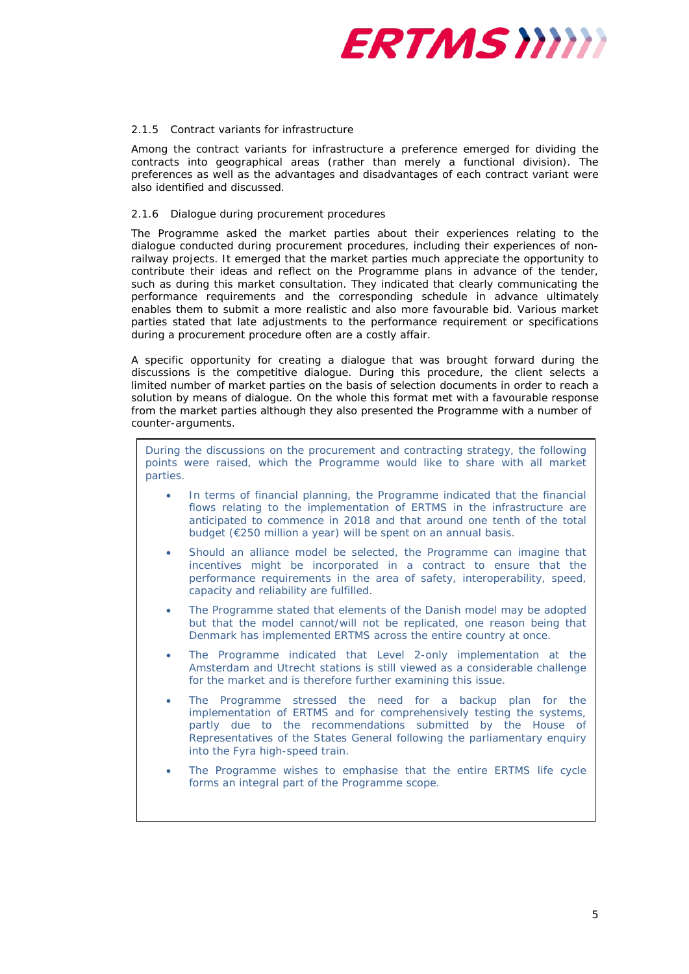

### *2.1.5 Contract variants for infrastructure*

Among the contract variants for infrastructure a preference emerged for dividing the contracts into geographical areas (rather than merely a functional division). The preferences as well as the advantages and disadvantages of each contract variant were also identified and discussed.

### *2.1.6 Dialogue during procurement procedures*

The Programme asked the market parties about their experiences relating to the dialogue conducted during procurement procedures, including their experiences of nonrailway projects. It emerged that the market parties much appreciate the opportunity to contribute their ideas and reflect on the Programme plans in advance of the tender, such as during this market consultation. They indicated that clearly communicating the performance requirements and the corresponding schedule in advance ultimately enables them to submit a more realistic and also more favourable bid. Various market parties stated that late adjustments to the performance requirement or specifications during a procurement procedure often are a costly affair.

A specific opportunity for creating a dialogue that was brought forward during the discussions is the competitive dialogue. During this procedure, the client selects a limited number of market parties on the basis of selection documents in order to reach a solution by means of dialogue. On the whole this format met with a favourable response from the market parties although they also presented the Programme with a number of counter-arguments.

During the discussions on the procurement and contracting strategy, the following points were raised, which the Programme would like to share with all market parties.

- In terms of financial planning, the Programme indicated that the financial flows relating to the implementation of ERTMS in the infrastructure are anticipated to commence in 2018 and that around one tenth of the total budget (€250 million a year) will be spent on an annual basis.
- Should an alliance model be selected, the Programme can imagine that incentives might be incorporated in a contract to ensure that the performance requirements in the area of safety, interoperability, speed, capacity and reliability are fulfilled.
- The Programme stated that elements of the Danish model may be adopted but that the model cannot/will not be replicated, one reason being that Denmark has implemented ERTMS across the entire country at once.
- The Programme indicated that Level 2-only implementation at the Amsterdam and Utrecht stations is still viewed as a considerable challenge for the market and is therefore further examining this issue.
- The Programme stressed the need for a backup plan for the implementation of ERTMS and for comprehensively testing the systems, partly due to the recommendations submitted by the House of Representatives of the States General following the parliamentary enquiry into the Fyra high-speed train.
- The Programme wishes to emphasise that the entire ERTMS life cycle forms an integral part of the Programme scope.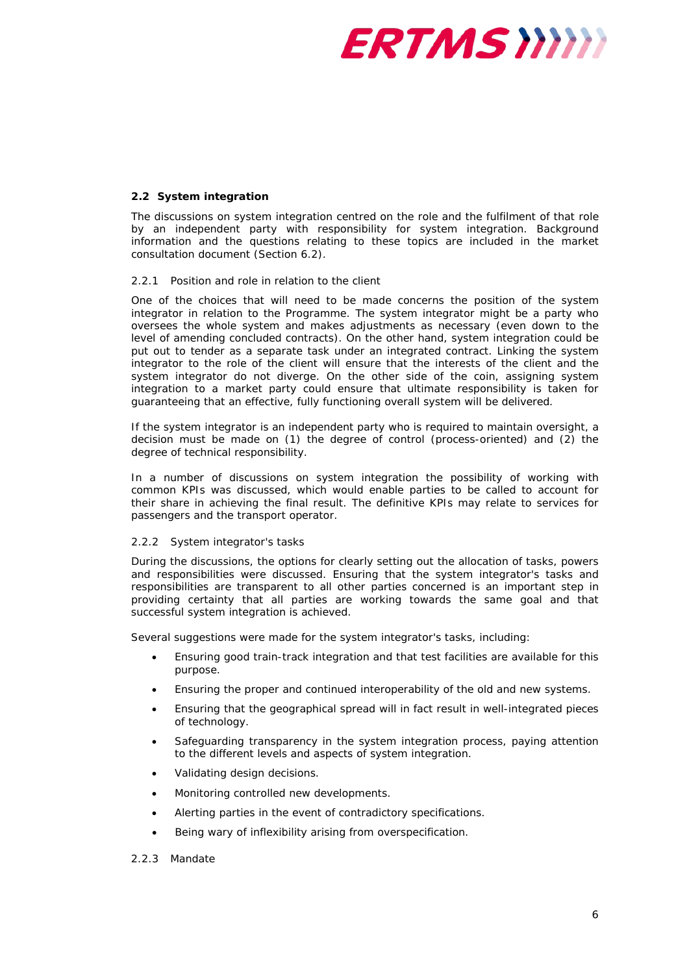

## <span id="page-5-0"></span>**2.2 System integration**

The discussions on system integration centred on the role and the fulfilment of that role by an independent party with responsibility for system integration. Background information and the questions relating to these topics are included in the market consultation document (Section 6.2).

#### *2.2.1 Position and role in relation to the client*

One of the choices that will need to be made concerns the position of the system integrator in relation to the Programme. The system integrator might be a party who oversees the whole system and makes adjustments as necessary (even down to the level of amending concluded contracts). On the other hand, system integration could be put out to tender as a separate task under an integrated contract. Linking the system integrator to the role of the client will ensure that the interests of the client and the system integrator do not diverge. On the other side of the coin, assigning system integration to a market party could ensure that ultimate responsibility is taken for guaranteeing that an effective, fully functioning overall system will be delivered.

If the system integrator is an independent party who is required to maintain oversight, a decision must be made on (1) the degree of control (process-oriented) and (2) the degree of technical responsibility.

In a number of discussions on system integration the possibility of working with common KPIs was discussed, which would enable parties to be called to account for their share in achieving the final result. The definitive KPIs may relate to services for passengers and the transport operator.

#### *2.2.2 System integrator's tasks*

During the discussions, the options for clearly setting out the allocation of tasks, powers and responsibilities were discussed. Ensuring that the system integrator's tasks and responsibilities are transparent to all other parties concerned is an important step in providing certainty that all parties are working towards the same goal and that successful system integration is achieved.

Several suggestions were made for the system integrator's tasks, including:

- Ensuring good train-track integration and that test facilities are available for this purpose.
- Ensuring the proper and continued interoperability of the old and new systems.
- Ensuring that the geographical spread will in fact result in well-integrated pieces of technology.
- Safeguarding transparency in the system integration process, paying attention to the different levels and aspects of system integration.
- Validating design decisions.
- Monitoring controlled new developments.
- Alerting parties in the event of contradictory specifications.
- Being wary of inflexibility arising from overspecification.
- *2.2.3 Mandate*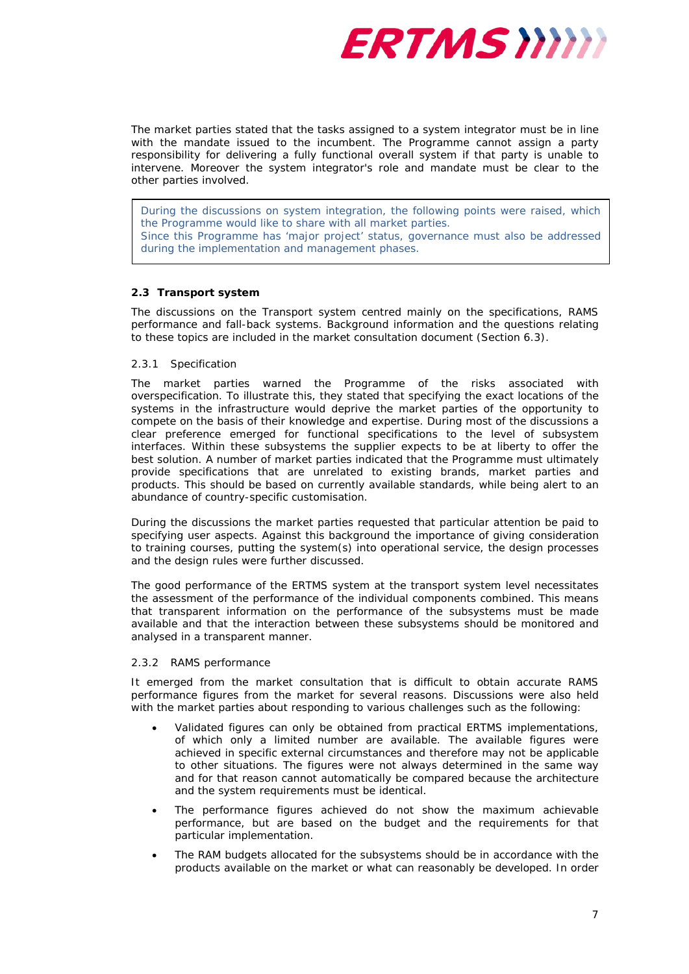

The market parties stated that the tasks assigned to a system integrator must be in line with the mandate issued to the incumbent. The Programme cannot assign a party responsibility for delivering a fully functional overall system if that party is unable to intervene. Moreover the system integrator's role and mandate must be clear to the other parties involved.

During the discussions on system integration, the following points were raised, which the Programme would like to share with all market parties. Since this Programme has 'major project' status, governance must also be addressed during the implementation and management phases.

### <span id="page-6-0"></span>**2.3 Transport system**

The discussions on the Transport system centred mainly on the specifications, RAMS performance and fall-back systems. Background information and the questions relating to these topics are included in the market consultation document (Section 6.3).

### *2.3.1 Specification*

The market parties warned the Programme of the risks associated with overspecification. To illustrate this, they stated that specifying the exact locations of the systems in the infrastructure would deprive the market parties of the opportunity to compete on the basis of their knowledge and expertise. During most of the discussions a clear preference emerged for functional specifications to the level of subsystem interfaces. Within these subsystems the supplier expects to be at liberty to offer the best solution. A number of market parties indicated that the Programme must ultimately provide specifications that are unrelated to existing brands, market parties and products. This should be based on currently available standards, while being alert to an abundance of country-specific customisation.

During the discussions the market parties requested that particular attention be paid to specifying user aspects. Against this background the importance of giving consideration to training courses, putting the system(s) into operational service, the design processes and the design rules were further discussed.

The good performance of the ERTMS system at the transport system level necessitates the assessment of the performance of the individual components combined. This means that transparent information on the performance of the subsystems must be made available and that the interaction between these subsystems should be monitored and analysed in a transparent manner.

### *2.3.2 RAMS performance*

It emerged from the market consultation that is difficult to obtain accurate RAMS performance figures from the market for several reasons. Discussions were also held with the market parties about responding to various challenges such as the following:

- Validated figures can only be obtained from practical ERTMS implementations, of which only a limited number are available. The available figures were achieved in specific external circumstances and therefore may not be applicable to other situations. The figures were not always determined in the same way and for that reason cannot automatically be compared because the architecture and the system requirements must be identical.
- The performance figures achieved do not show the maximum achievable performance, but are based on the budget and the requirements for that particular implementation.
- The RAM budgets allocated for the subsystems should be in accordance with the products available on the market or what can reasonably be developed. In order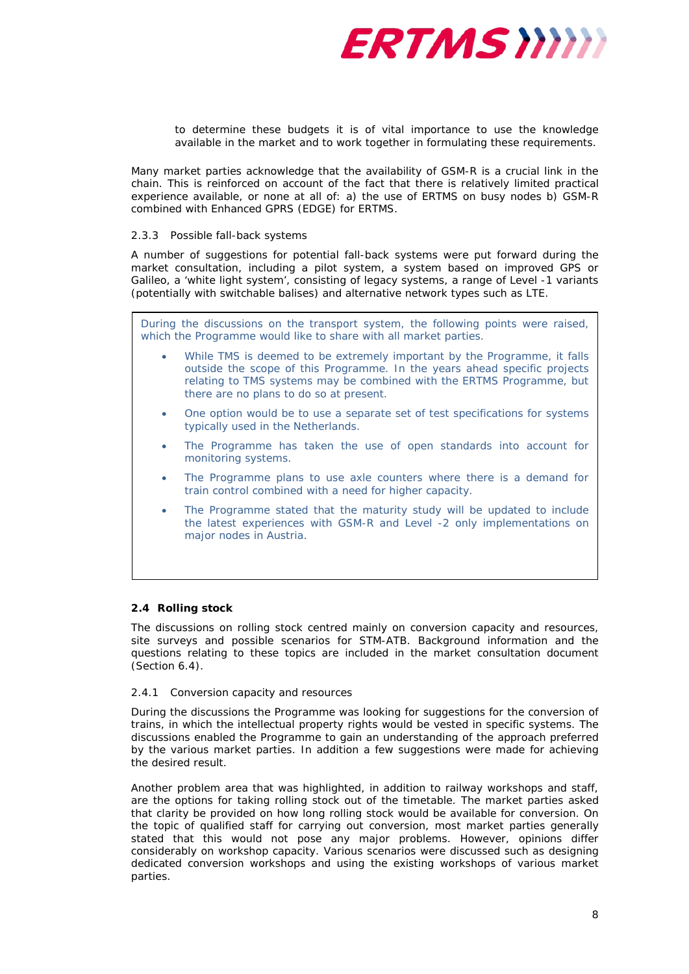

to determine these budgets it is of vital importance to use the knowledge available in the market and to work together in formulating these requirements.

Many market parties acknowledge that the availability of GSM-R is a crucial link in the chain. This is reinforced on account of the fact that there is relatively limited practical experience available, or none at all of: a) the use of ERTMS on busy nodes b) GSM-R combined with Enhanced GPRS (EDGE) for ERTMS.

#### *2.3.3 Possible fall-back systems*

A number of suggestions for potential fall-back systems were put forward during the market consultation, including a pilot system, a system based on improved GPS or Galileo, a 'white light system', consisting of legacy systems, a range of Level -1 variants (potentially with switchable balises) and alternative network types such as LTE.

During the discussions on the transport system, the following points were raised, which the Programme would like to share with all market parties.

- While TMS is deemed to be extremely important by the Programme, it falls outside the scope of this Programme. In the years ahead specific projects relating to TMS systems may be combined with the ERTMS Programme, but there are no plans to do so at present.
- One option would be to use a separate set of test specifications for systems typically used in the Netherlands.
- The Programme has taken the use of open standards into account for monitoring systems.
- The Programme plans to use axle counters where there is a demand for train control combined with a need for higher capacity.
- The Programme stated that the maturity study will be updated to include the latest experiences with GSM-R and Level -2 only implementations on major nodes in Austria.

### <span id="page-7-0"></span>**2.4 Rolling stock**

The discussions on rolling stock centred mainly on conversion capacity and resources, site surveys and possible scenarios for STM-ATB. Background information and the questions relating to these topics are included in the market consultation document (Section 6.4).

### *2.4.1 Conversion capacity and resources*

During the discussions the Programme was looking for suggestions for the conversion of trains, in which the intellectual property rights would be vested in specific systems. The discussions enabled the Programme to gain an understanding of the approach preferred by the various market parties. In addition a few suggestions were made for achieving the desired result.

Another problem area that was highlighted, in addition to railway workshops and staff, are the options for taking rolling stock out of the timetable. The market parties asked that clarity be provided on how long rolling stock would be available for conversion. On the topic of qualified staff for carrying out conversion, most market parties generally stated that this would not pose any major problems. However, opinions differ considerably on workshop capacity. Various scenarios were discussed such as designing dedicated conversion workshops and using the existing workshops of various market parties.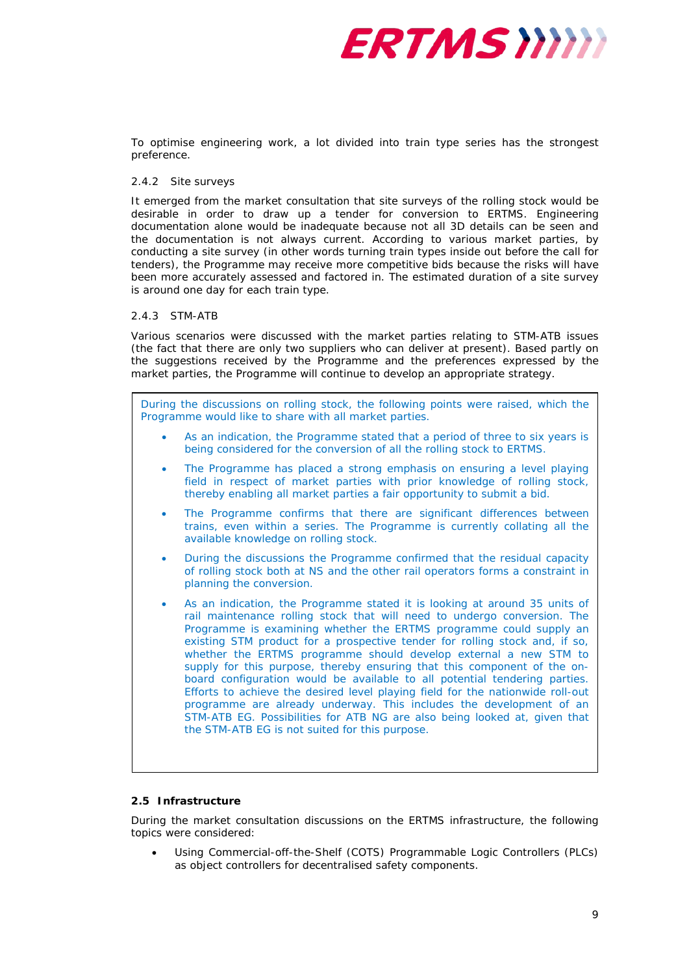

To optimise engineering work, a lot divided into train type series has the strongest preference.

### *2.4.2 Site surveys*

It emerged from the market consultation that site surveys of the rolling stock would be desirable in order to draw up a tender for conversion to ERTMS. Engineering documentation alone would be inadequate because not all 3D details can be seen and the documentation is not always current. According to various market parties, by conducting a site survey (in other words turning train types inside out before the call for tenders), the Programme may receive more competitive bids because the risks will have been more accurately assessed and factored in. The estimated duration of a site survey is around one day for each train type.

### *2.4.3 STM-ATB*

Various scenarios were discussed with the market parties relating to STM-ATB issues (the fact that there are only two suppliers who can deliver at present). Based partly on the suggestions received by the Programme and the preferences expressed by the market parties, the Programme will continue to develop an appropriate strategy.

During the discussions on rolling stock, the following points were raised, which the Programme would like to share with all market parties.

- As an indication, the Programme stated that a period of three to six years is being considered for the conversion of all the rolling stock to ERTMS.
- The Programme has placed a strong emphasis on ensuring a level playing field in respect of market parties with prior knowledge of rolling stock, thereby enabling all market parties a fair opportunity to submit a bid.
- The Programme confirms that there are significant differences between trains, even within a series. The Programme is currently collating all the available knowledge on rolling stock.
- During the discussions the Programme confirmed that the residual capacity of rolling stock both at NS and the other rail operators forms a constraint in planning the conversion.
- As an indication, the Programme stated it is looking at around 35 units of rail maintenance rolling stock that will need to undergo conversion. The Programme is examining whether the ERTMS programme could supply an existing STM product for a prospective tender for rolling stock and, if so, whether the ERTMS programme should develop external a new STM to supply for this purpose, thereby ensuring that this component of the onboard configuration would be available to all potential tendering parties. Efforts to achieve the desired level playing field for the nationwide roll-out programme are already underway. This includes the development of an STM-ATB EG. Possibilities for ATB NG are also being looked at, given that the STM-ATB EG is not suited for this purpose.

## <span id="page-8-0"></span>**2.5 Infrastructure**

During the market consultation discussions on the ERTMS infrastructure, the following topics were considered:

• Using Commercial-off-the-Shelf (COTS) Programmable Logic Controllers (PLCs) as object controllers for decentralised safety components.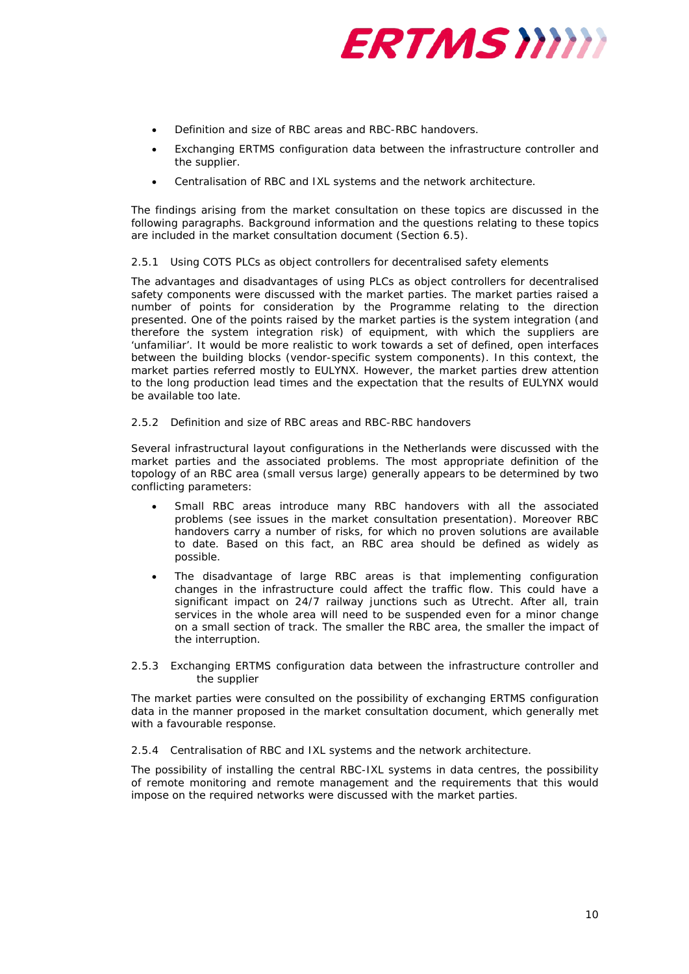

- Definition and size of RBC areas and RBC-RBC handovers.
- Exchanging ERTMS configuration data between the infrastructure controller and the supplier.
- Centralisation of RBC and IXL systems and the network architecture.

The findings arising from the market consultation on these topics are discussed in the following paragraphs. Background information and the questions relating to these topics are included in the market consultation document (Section 6.5).

### *2.5.1 Using COTS PLCs as object controllers for decentralised safety elements*

The advantages and disadvantages of using PLCs as object controllers for decentralised safety components were discussed with the market parties. The market parties raised a number of points for consideration by the Programme relating to the direction presented. One of the points raised by the market parties is the system integration (and therefore the system integration risk) of equipment, with which the suppliers are 'unfamiliar'. It would be more realistic to work towards a set of defined, open interfaces between the building blocks (vendor-specific system components). In this context, the market parties referred mostly to EULYNX. However, the market parties drew attention to the long production lead times and the expectation that the results of EULYNX would be available too late.

### *2.5.2 Definition and size of RBC areas and RBC-RBC handovers*

Several infrastructural layout configurations in the Netherlands were discussed with the market parties and the associated problems. The most appropriate definition of the topology of an RBC area (small versus large) generally appears to be determined by two conflicting parameters:

- *Small* RBC areas introduce many RBC handovers with all the associated problems (see issues in the market consultation presentation). Moreover RBC handovers carry a number of risks, for which no proven solutions are available to date. Based on this fact, an RBC area should be defined as widely as possible.
- The disadvantage of *large* RBC areas is that implementing configuration changes in the infrastructure could affect the traffic flow. This could have a significant impact on 24/7 railway junctions such as Utrecht. After all, train services in the whole area will need to be suspended even for a minor change on a small section of track. The smaller the RBC area, the smaller the impact of the interruption.

### *2.5.3 Exchanging ERTMS configuration data between the infrastructure controller and the supplier*

The market parties were consulted on the possibility of exchanging ERTMS configuration data in the manner proposed in the market consultation document, which generally met with a favourable response.

#### *2.5.4 Centralisation of RBC and IXL systems and the network architecture.*

The possibility of installing the central RBC-IXL systems in data centres, the possibility of remote monitoring and remote management and the requirements that this would impose on the required networks were discussed with the market parties.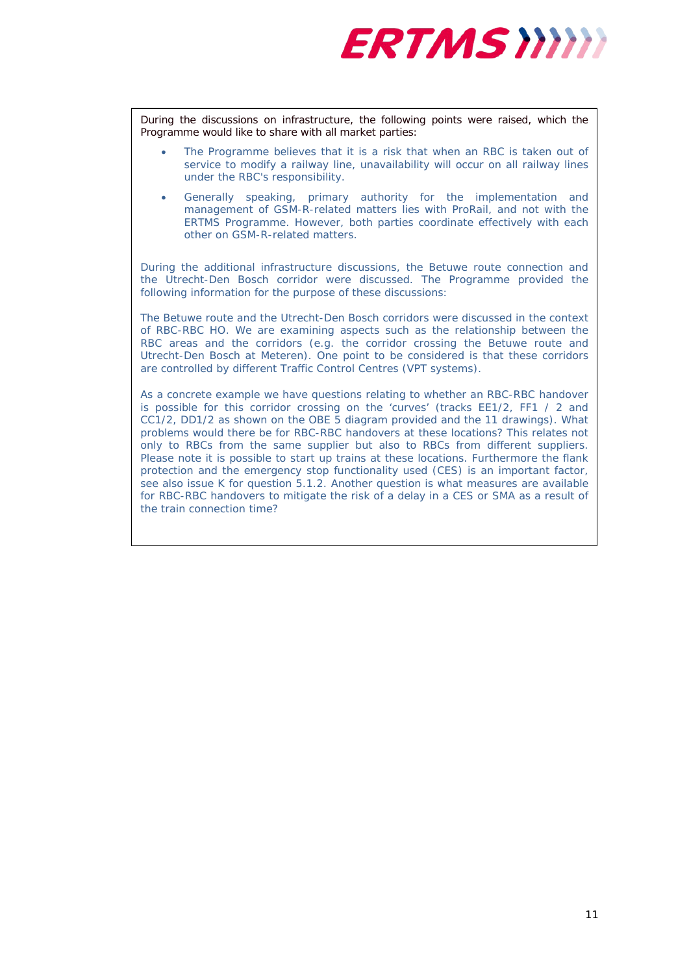

During the discussions on infrastructure, the following points were raised, which the Programme would like to share with all market parties:

- The Programme believes that it is a risk that when an RBC is taken out of service to modify a railway line, unavailability will occur on all railway lines under the RBC's responsibility.
- Generally speaking, primary authority for the implementation and management of GSM-R-related matters lies with ProRail, and not with the ERTMS Programme. However, both parties coordinate effectively with each other on GSM-R-related matters.

During the additional infrastructure discussions, the Betuwe route connection and the Utrecht-Den Bosch corridor were discussed. The Programme provided the following information for the purpose of these discussions:

*The Betuwe route and the Utrecht-Den Bosch corridors were discussed in the context of RBC-RBC HO. We are examining aspects such as the relationship between the RBC areas and the corridors (e.g. the corridor crossing the Betuwe route and Utrecht-Den Bosch at Meteren). One point to be considered is that these corridors are controlled by different Traffic Control Centres (VPT systems).*

*As a concrete example we have questions relating to whether an RBC-RBC handover is possible for this corridor crossing on the 'curves' (tracks EE1/2, FF1 / 2 and CC1/2, DD1/2 as shown on the OBE 5 diagram provided and the 11 drawings). What problems would there be for RBC-RBC handovers at these locations? This relates not only to RBCs from the same supplier but also to RBCs from different suppliers. Please note it is possible to start up trains at these locations. Furthermore the flank protection and the emergency stop functionality used (CES) is an important factor, see also issue K for question 5.1.2. Another question is what measures are available for RBC-RBC handovers to mitigate the risk of a delay in a CES or SMA as a result of the train connection time?*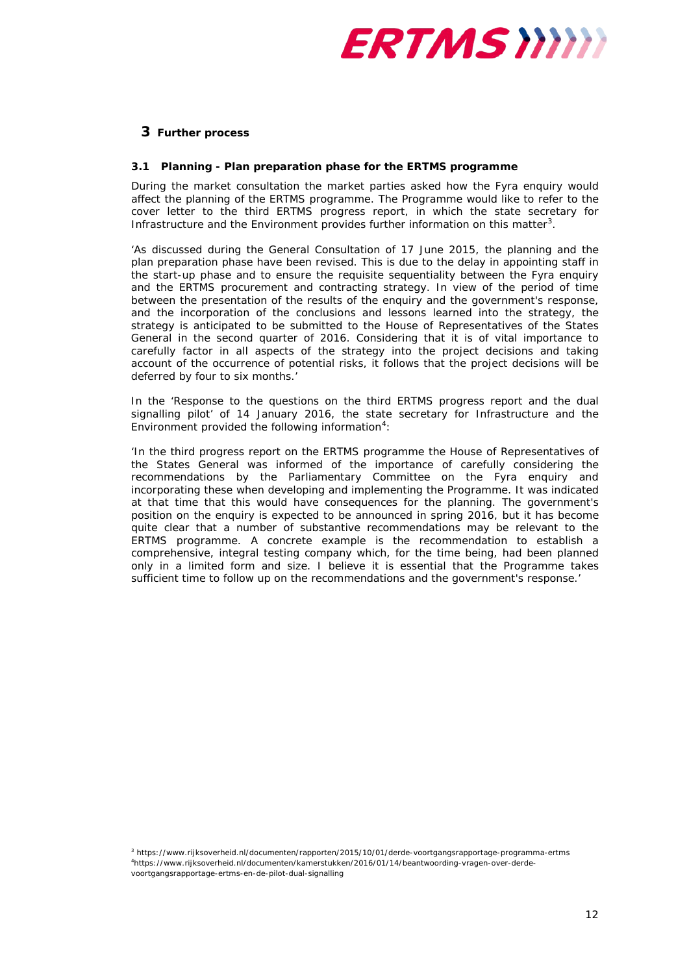

# <span id="page-11-0"></span>**3 Further process**

### <span id="page-11-1"></span>**3.1 Planning - Plan preparation phase for the ERTMS programme**

During the market consultation the market parties asked how the Fyra enquiry would affect the planning of the ERTMS programme. The Programme would like to refer to the cover letter to the third ERTMS progress report, in which the state secretary for Infrastructure and the Environment provides further information on this matter<sup>[3](#page-11-2)</sup>.

*'As discussed during the General Consultation of 17 June 2015, the planning and the plan preparation phase have been revised. This is due to the delay in appointing staff in the start-up phase and to ensure the requisite sequentiality between the Fyra enquiry and the ERTMS procurement and contracting strategy. In view of the period of time between the presentation of the results of the enquiry and the government's response, and the incorporation of the conclusions and lessons learned into the strategy, the strategy is anticipated to be submitted to the House of Representatives of the States General in the second quarter of 2016. Considering that it is of vital importance to carefully factor in all aspects of the strategy into the project decisions and taking account of the occurrence of potential risks, it follows that the project decisions will be deferred by four to six months.'*

In the 'Response to the questions on the third ERTMS progress report and the dual signalling pilot' of 14 January 2016, the state secretary for Infrastructure and the Environment provided the following information<sup>[4](#page-11-3)</sup>:

*'In the third progress report on the ERTMS programme the House of Representatives of the States General was informed of the importance of carefully considering the recommendations by the Parliamentary Committee on the Fyra enquiry and incorporating these when developing and implementing the Programme. It was indicated at that time that this would have consequences for the planning. The government's position on the enquiry is expected to be announced in spring 2016, but it has become quite clear that a number of substantive recommendations may be relevant to the ERTMS programme. A concrete example is the recommendation to establish a comprehensive, integral testing company which, for the time being, had been planned only in a limited form and size. I believe it is essential that the Programme takes sufficient time to follow up on the recommendations and the government's response.'*

<span id="page-11-3"></span><span id="page-11-2"></span><sup>3</sup> https://www.rijksoverheid.nl/documenten/rapporten/2015/10/01/derde-voortgangsrapportage-programma-ertms 4 https://www.rijksoverheid.nl/documenten/kamerstukken/2016/01/14/beantwoording-vragen-over-derdevoortgangsrapportage-ertms-en-de-pilot-dual-signalling